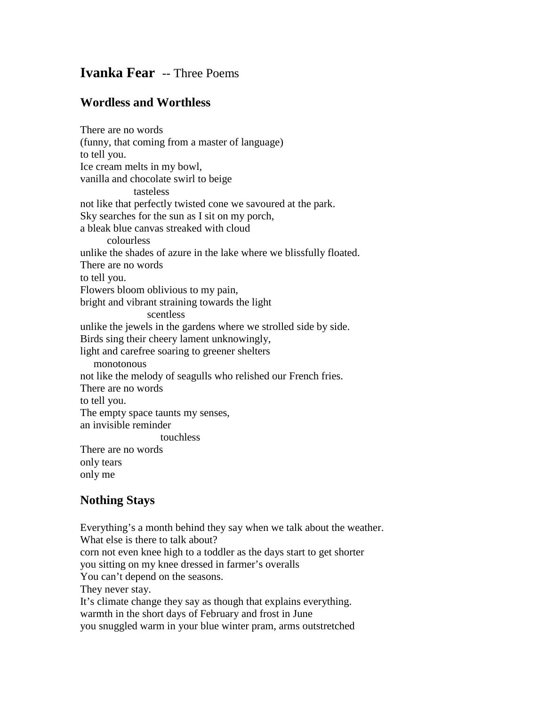## **Ivanka Fear** -- Three Poems

## **Wordless and Worthless**

There are no words (funny, that coming from a master of language) to tell you. Ice cream melts in my bowl, vanilla and chocolate swirl to beige tasteless not like that perfectly twisted cone we savoured at the park. Sky searches for the sun as I sit on my porch, a bleak blue canvas streaked with cloud colourless unlike the shades of azure in the lake where we blissfully floated. There are no words to tell you. Flowers bloom oblivious to my pain, bright and vibrant straining towards the light scentless unlike the jewels in the gardens where we strolled side by side. Birds sing their cheery lament unknowingly, light and carefree soaring to greener shelters monotonous not like the melody of seagulls who relished our French fries. There are no words to tell you. The empty space taunts my senses, an invisible reminder touchless There are no words only tears only me

## **Nothing Stays**

Everything's a month behind they say when we talk about the weather. What else is there to talk about? corn not even knee high to a toddler as the days start to get shorter you sitting on my knee dressed in farmer's overalls You can't depend on the seasons. They never stay. It's climate change they say as though that explains everything. warmth in the short days of February and frost in June you snuggled warm in your blue winter pram, arms outstretched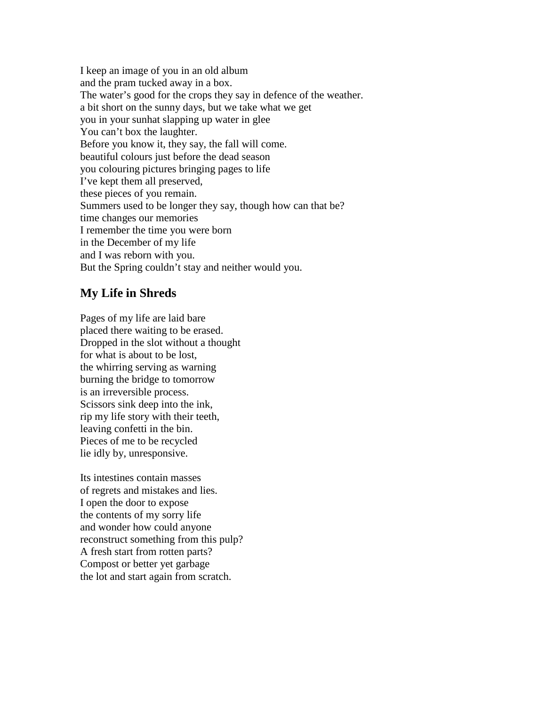I keep an image of you in an old album and the pram tucked away in a box. The water's good for the crops they say in defence of the weather. a bit short on the sunny days, but we take what we get you in your sunhat slapping up water in glee You can't box the laughter. Before you know it, they say, the fall will come. beautiful colours just before the dead season you colouring pictures bringing pages to life I've kept them all preserved, these pieces of you remain. Summers used to be longer they say, though how can that be? time changes our memories I remember the time you were born in the December of my life and I was reborn with you. But the Spring couldn't stay and neither would you.

## **My Life in Shreds**

Pages of my life are laid bare placed there waiting to be erased. Dropped in the slot without a thought for what is about to be lost, the whirring serving as warning burning the bridge to tomorrow is an irreversible process. Scissors sink deep into the ink, rip my life story with their teeth, leaving confetti in the bin. Pieces of me to be recycled lie idly by, unresponsive.

Its intestines contain masses of regrets and mistakes and lies. I open the door to expose the contents of my sorry life and wonder how could anyone reconstruct something from this pulp? A fresh start from rotten parts? Compost or better yet garbage the lot and start again from scratch.